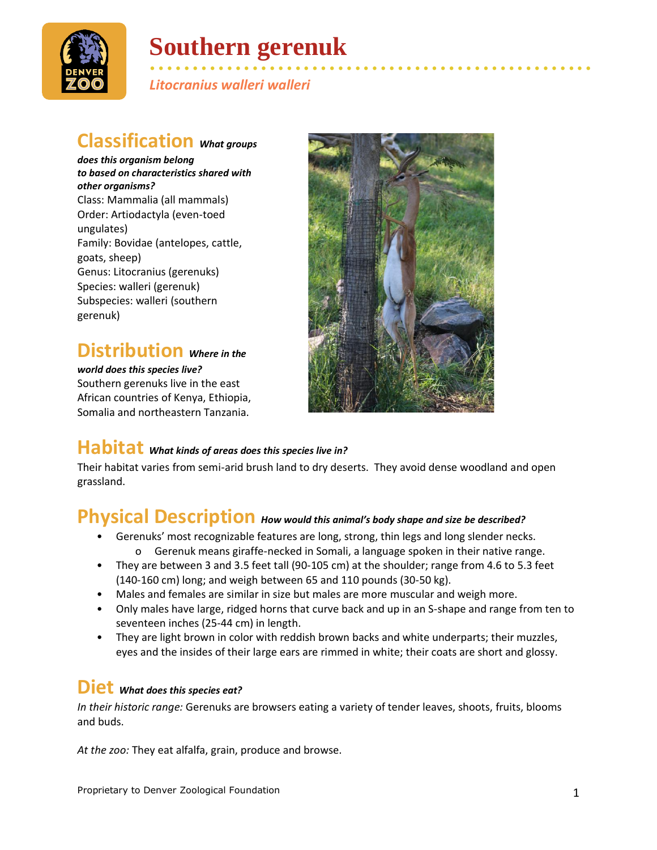

# **Southern gerenuk**

• • • • • • • • • • • • • • • • • • • • • • • • • • • • • • • • • • • • • • • • • • • • • • • • • • • • *Litocranius walleri walleri*

### **Classification** *What groups*

*does this organism belong to based on characteristics shared with other organisms?* Class: Mammalia (all mammals) Order: Artiodactyla (even-toed ungulates) Family: Bovidae (antelopes, cattle, goats, sheep) Genus: Litocranius (gerenuks) Species: walleri (gerenuk) Subspecies: walleri (southern gerenuk)

## **Distribution** *Where in the*

*world does this species live?* Southern gerenuks live in the east African countries of Kenya, Ethiopia, Somalia and northeastern Tanzania.



### **Habitat** *What kinds of areas does this species live in?*

Their habitat varies from semi-arid brush land to dry deserts. They avoid dense woodland and open grassland.

### **Physical Description** *How would this animal's body shape and size be described?*

- Gerenuks' most recognizable features are long, strong, thin legs and long slender necks. o Gerenuk means giraffe-necked in Somali, a language spoken in their native range.
- They are between 3 and 3.5 feet tall (90-105 cm) at the shoulder; range from 4.6 to 5.3 feet (140-160 cm) long; and weigh between 65 and 110 pounds (30-50 kg).
- Males and females are similar in size but males are more muscular and weigh more.
- Only males have large, ridged horns that curve back and up in an S-shape and range from ten to seventeen inches (25-44 cm) in length.
- They are light brown in color with reddish brown backs and white underparts; their muzzles, eyes and the insides of their large ears are rimmed in white; their coats are short and glossy.

#### **Diet** *What does this species eat?*

*In their historic range:* Gerenuks are browsers eating a variety of tender leaves, shoots, fruits, blooms and buds.

*At the zoo:* They eat alfalfa, grain, produce and browse.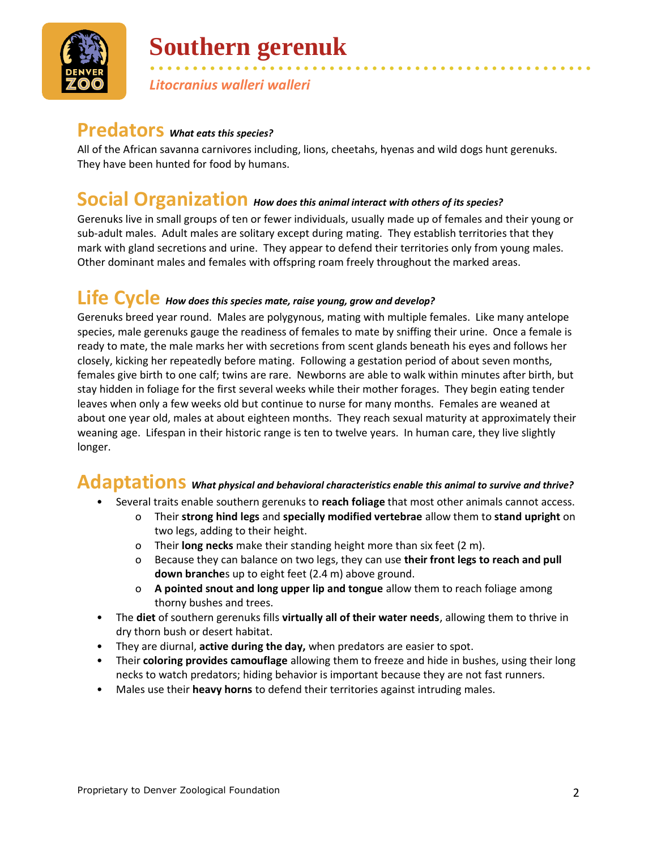

# **Southern gerenuk**

• • • • • • • • • • • • • • • • • • • • • • • • • • • • • • • • • • • • • • • • • • • • • • • • • • • • *Litocranius walleri walleri*

## **Predators** *What eats this species?*

All of the African savanna carnivores including, lions, cheetahs, hyenas and wild dogs hunt gerenuks. They have been hunted for food by humans.

#### **Social Organization** *How does this animal interact with others of its species?*

Gerenuks live in small groups of ten or fewer individuals, usually made up of females and their young or sub-adult males. Adult males are solitary except during mating. They establish territories that they mark with gland secretions and urine. They appear to defend their territories only from young males. Other dominant males and females with offspring roam freely throughout the marked areas.

## **Life Cycle** *How does this species mate, raise young, grow and develop?*

Gerenuks breed year round. Males are polygynous, mating with multiple females. Like many antelope species, male gerenuks gauge the readiness of females to mate by sniffing their urine. Once a female is ready to mate, the male marks her with secretions from scent glands beneath his eyes and follows her closely, kicking her repeatedly before mating. Following a gestation period of about seven months, females give birth to one calf; twins are rare. Newborns are able to walk within minutes after birth, but stay hidden in foliage for the first several weeks while their mother forages. They begin eating tender leaves when only a few weeks old but continue to nurse for many months. Females are weaned at about one year old, males at about eighteen months. They reach sexual maturity at approximately their weaning age. Lifespan in their historic range is ten to twelve years. In human care, they live slightly longer.

## **Adaptations** *What physical and behavioral characteristics enable this animal to survive and thrive?*

- Several traits enable southern gerenuks to **reach foliage** that most other animals cannot access.
	- o Their **strong hind legs** and **specially modified vertebrae** allow them to **stand upright** on two legs, adding to their height.
	- o Their **long necks** make their standing height more than six feet (2 m).
	- o Because they can balance on two legs, they can use **their front legs to reach and pull down branche**s up to eight feet (2.4 m) above ground.
	- o **A pointed snout and long upper lip and tongue** allow them to reach foliage among thorny bushes and trees.
- The **diet** of southern gerenuks fills **virtually all of their water needs**, allowing them to thrive in dry thorn bush or desert habitat.
- They are diurnal, **active during the day,** when predators are easier to spot.
- Their **coloring provides camouflage** allowing them to freeze and hide in bushes, using their long necks to watch predators; hiding behavior is important because they are not fast runners.
- Males use their **heavy horns** to defend their territories against intruding males.